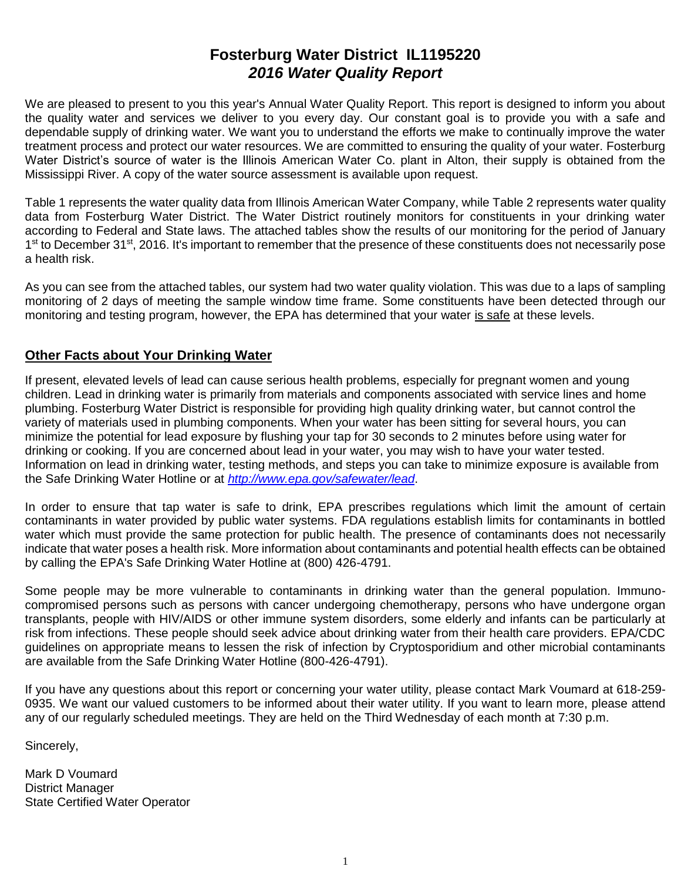# **Fosterburg Water District IL1195220** *2016 Water Quality Report*

We are pleased to present to you this year's Annual Water Quality Report. This report is designed to inform you about the quality water and services we deliver to you every day. Our constant goal is to provide you with a safe and dependable supply of drinking water. We want you to understand the efforts we make to continually improve the water treatment process and protect our water resources. We are committed to ensuring the quality of your water. Fosterburg Water District's source of water is the Illinois American Water Co. plant in Alton, their supply is obtained from the Mississippi River. A copy of the water source assessment is available upon request.

Table 1 represents the water quality data from Illinois American Water Company, while Table 2 represents water quality data from Fosterburg Water District. The Water District routinely monitors for constituents in your drinking water according to Federal and State laws. The attached tables show the results of our monitoring for the period of January 1<sup>st</sup> to December 31<sup>st</sup>, 2016. It's important to remember that the presence of these constituents does not necessarily pose a health risk.

As you can see from the attached tables, our system had two water quality violation. This was due to a laps of sampling monitoring of 2 days of meeting the sample window time frame. Some constituents have been detected through our monitoring and testing program, however, the EPA has determined that your water is safe at these levels.

### **Other Facts about Your Drinking Water**

If present, elevated levels of lead can cause serious health problems, especially for pregnant women and young children. Lead in drinking water is primarily from materials and components associated with service lines and home plumbing. Fosterburg Water District is responsible for providing high quality drinking water, but cannot control the variety of materials used in plumbing components. When your water has been sitting for several hours, you can minimize the potential for lead exposure by flushing your tap for 30 seconds to 2 minutes before using water for drinking or cooking. If you are concerned about lead in your water, you may wish to have your water tested. Information on lead in drinking water, testing methods, and steps you can take to minimize exposure is available from the Safe Drinking Water Hotline or at *<http://www.epa.gov/safewater/lead>*.

In order to ensure that tap water is safe to drink, EPA prescribes regulations which limit the amount of certain contaminants in water provided by public water systems. FDA regulations establish limits for contaminants in bottled water which must provide the same protection for public health. The presence of contaminants does not necessarily indicate that water poses a health risk. More information about contaminants and potential health effects can be obtained by calling the EPA's Safe Drinking Water Hotline at (800) 426-4791.

Some people may be more vulnerable to contaminants in drinking water than the general population. Immunocompromised persons such as persons with cancer undergoing chemotherapy, persons who have undergone organ transplants, people with HIV/AIDS or other immune system disorders, some elderly and infants can be particularly at risk from infections. These people should seek advice about drinking water from their health care providers. EPA/CDC guidelines on appropriate means to lessen the risk of infection by Cryptosporidium and other microbial contaminants are available from the Safe Drinking Water Hotline (800-426-4791).

If you have any questions about this report or concerning your water utility, please contact Mark Voumard at 618-259- 0935. We want our valued customers to be informed about their water utility. If you want to learn more, please attend any of our regularly scheduled meetings. They are held on the Third Wednesday of each month at 7:30 p.m.

Sincerely,

Mark D Voumard District Manager State Certified Water Operator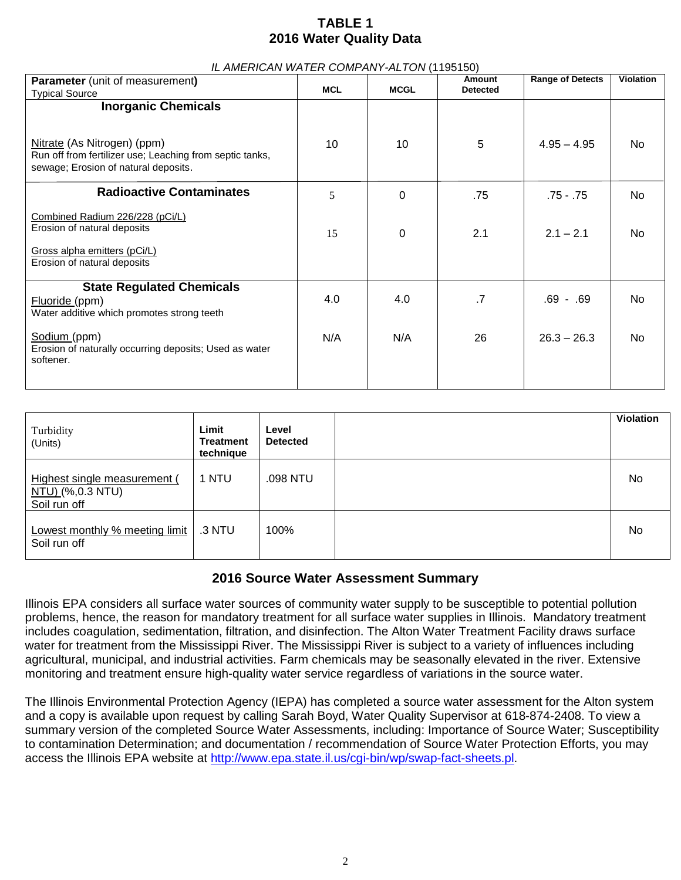# **TABLE 1 2016 Water Quality Data**

| IL AMERICAN WATER COMPANY-ALTON (1195150)                                                                                                                     |            |             |                           |                         |                  |
|---------------------------------------------------------------------------------------------------------------------------------------------------------------|------------|-------------|---------------------------|-------------------------|------------------|
| <b>Parameter</b> (unit of measurement)<br><b>Typical Source</b>                                                                                               | <b>MCL</b> | <b>MCGL</b> | Amount<br><b>Detected</b> | <b>Range of Detects</b> | <b>Violation</b> |
| <b>Inorganic Chemicals</b><br>Nitrate (As Nitrogen) (ppm)<br>Run off from fertilizer use; Leaching from septic tanks,<br>sewage; Erosion of natural deposits. | 10         | 10          | 5                         | $4.95 - 4.95$           | No.              |
| <b>Radioactive Contaminates</b>                                                                                                                               | 5          | $\Omega$    | .75                       | .75 - .75               | No               |
| Combined Radium 226/228 (pCi/L)<br>Erosion of natural deposits<br>Gross alpha emitters (pCi/L)<br>Erosion of natural deposits                                 | 15         | 0           | 2.1                       | $2.1 - 2.1$             | No               |
| <b>State Regulated Chemicals</b><br>Fluoride (ppm)<br>Water additive which promotes strong teeth                                                              | 4.0        | 4.0         | $\cdot$                   | $.69 - .69$             | No               |
| Sodium (ppm)<br>Erosion of naturally occurring deposits; Used as water<br>softener.                                                                           | N/A        | N/A         | 26                        | $26.3 - 26.3$           | No               |

| Turbidity<br>(Units)                                                     | Limit<br>Treatment<br>technique | Level<br><b>Detected</b> | <b>Violation</b> |
|--------------------------------------------------------------------------|---------------------------------|--------------------------|------------------|
| Highest single measurement (<br><u>NTU) (</u> %,0.3 NTU)<br>Soil run off | 1 NTU                           | .098 NTU                 | No               |
| Lowest monthly % meeting limit<br>Soil run off                           | .3 NTU                          | 100%                     | No               |

### **2016 Source Water Assessment Summary**

Illinois EPA considers all surface water sources of community water supply to be susceptible to potential pollution problems, hence, the reason for mandatory treatment for all surface water supplies in Illinois. Mandatory treatment includes coagulation, sedimentation, filtration, and disinfection. The Alton Water Treatment Facility draws surface water for treatment from the Mississippi River. The Mississippi River is subject to a variety of influences including agricultural, municipal, and industrial activities. Farm chemicals may be seasonally elevated in the river. Extensive monitoring and treatment ensure high-quality water service regardless of variations in the source water.

The Illinois Environmental Protection Agency (IEPA) has completed a source water assessment for the Alton system and a copy is available upon request by calling Sarah Boyd, Water Quality Supervisor at 618-874-2408. To view a summary version of the completed Source Water Assessments, including: Importance of Source Water; Susceptibility to contamination Determination; and documentation / recommendation of Source Water Protection Efforts, you may access the Illinois EPA website at [http://www.epa.state.il.us/cgi-bin/wp/swap-fact-sheets.pl.](http://www.epa.state.il.us/cgi-bin/wp/swap-fact-sheets.pl)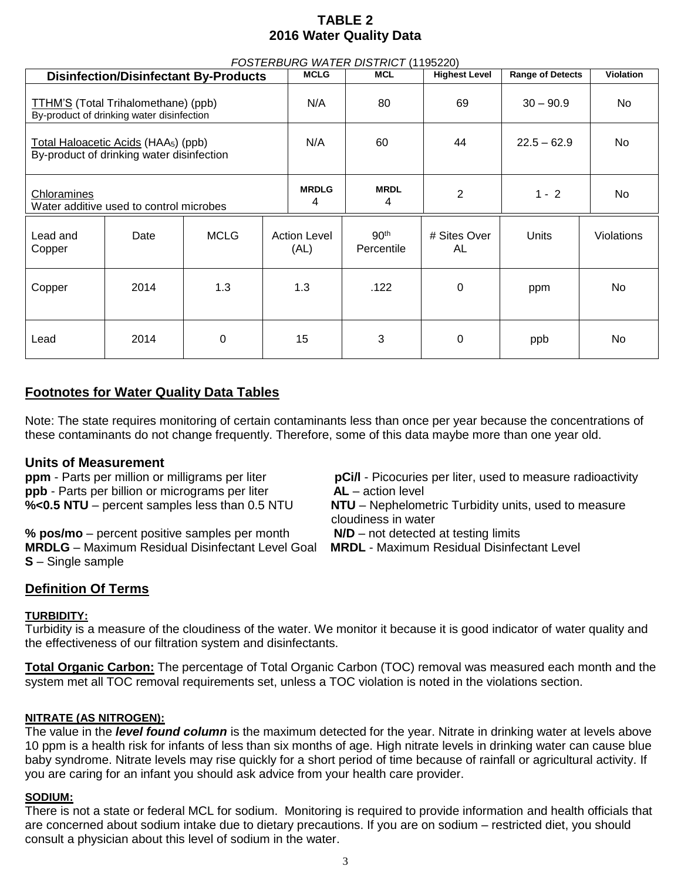## **TABLE 2 2016 Water Quality Data**

| FOSTERBURG WATER DISTRICT (1195220)                                                           |      |             |                             |                  |                                |                      |                         |                   |
|-----------------------------------------------------------------------------------------------|------|-------------|-----------------------------|------------------|--------------------------------|----------------------|-------------------------|-------------------|
| <b>Disinfection/Disinfectant By-Products</b>                                                  |      |             |                             | <b>MCLG</b>      | <b>MCL</b>                     | <b>Highest Level</b> | <b>Range of Detects</b> | <b>Violation</b>  |
| TTHM'S (Total Trihalomethane) (ppb)<br>By-product of drinking water disinfection              |      |             | N/A                         | 80               | 69                             | $30 - 90.9$          | No.                     |                   |
| Total Haloacetic Acids (HAA <sub>5</sub> ) (ppb)<br>By-product of drinking water disinfection |      |             | N/A                         | 60               | 44                             | $22.5 - 62.9$        | No.                     |                   |
| Chloramines<br>Water additive used to control microbes                                        |      |             | <b>MRDLG</b><br>4           | <b>MRDL</b><br>4 | 2                              | $1 - 2$              | No.                     |                   |
| Lead and<br>Copper                                                                            | Date | <b>MCLG</b> | <b>Action Level</b><br>(AL) |                  | 90 <sup>th</sup><br>Percentile | # Sites Over<br>AL   | Units                   | <b>Violations</b> |
| Copper                                                                                        | 2014 | 1.3         | 1.3                         |                  | .122                           | $\Omega$             | ppm                     | No                |
| Lead                                                                                          | 2014 | 0           | 15                          |                  | 3                              | 0                    | ppb                     | No                |

### **Footnotes for Water Quality Data Tables**

Note: The state requires monitoring of certain contaminants less than once per year because the concentrations of these contaminants do not change frequently. Therefore, some of this data maybe more than one year old.

### **Units of Measurement**

**ppb** - Parts per billion or micrograms per liter **AL** – action level

**% pos/mo** – percent positive samples per month **N/D** – not detected at testing limits **MRDLG** – Maximum Residual Disinfectant Level Goal **MRDL** - Maximum Residual Disinfectant Level **S** – Single sample

**ppm** - Parts per million or milligrams per liter **pCi/l** - Picocuries per liter, used to measure radioactivity

**%<0.5 NTU** – percent samples less than 0.5 NTU **NTU** – Nephelometric Turbidity units, used to measure cloudiness in water

### **Definition Of Terms**

### **TURBIDITY:**

Turbidity is a measure of the cloudiness of the water. We monitor it because it is good indicator of water quality and the effectiveness of our filtration system and disinfectants.

**Total Organic Carbon:** The percentage of Total Organic Carbon (TOC) removal was measured each month and the system met all TOC removal requirements set, unless a TOC violation is noted in the violations section.

### **NITRATE (AS NITROGEN):**

The value in the *level found column* is the maximum detected for the year. Nitrate in drinking water at levels above 10 ppm is a health risk for infants of less than six months of age. High nitrate levels in drinking water can cause blue baby syndrome. Nitrate levels may rise quickly for a short period of time because of rainfall or agricultural activity. If you are caring for an infant you should ask advice from your health care provider.

### **SODIUM:**

There is not a state or federal MCL for sodium. Monitoring is required to provide information and health officials that are concerned about sodium intake due to dietary precautions. If you are on sodium – restricted diet, you should consult a physician about this level of sodium in the water.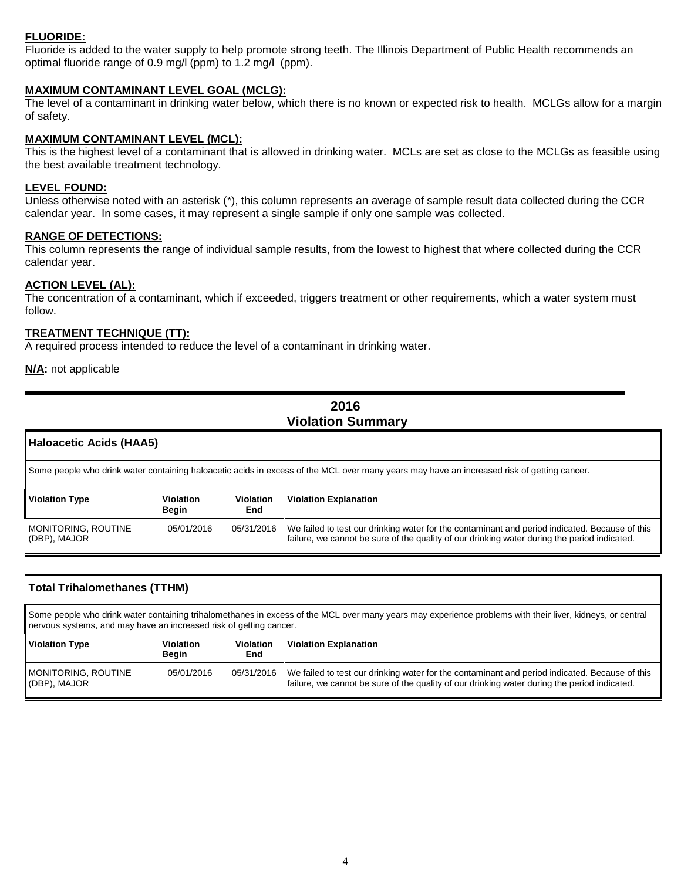### **FLUORIDE:**

Fluoride is added to the water supply to help promote strong teeth. The Illinois Department of Public Health recommends an optimal fluoride range of 0.9 mg/l (ppm) to 1.2 mg/l (ppm).

#### **MAXIMUM CONTAMINANT LEVEL GOAL (MCLG):**

The level of a contaminant in drinking water below, which there is no known or expected risk to health. MCLGs allow for a margin of safety.

#### **MAXIMUM CONTAMINANT LEVEL (MCL):**

This is the highest level of a contaminant that is allowed in drinking water. MCLs are set as close to the MCLGs as feasible using the best available treatment technology.

#### **LEVEL FOUND:**

Unless otherwise noted with an asterisk (\*), this column represents an average of sample result data collected during the CCR calendar year. In some cases, it may represent a single sample if only one sample was collected.

#### **RANGE OF DETECTIONS:**

This column represents the range of individual sample results, from the lowest to highest that where collected during the CCR calendar year.

#### **ACTION LEVEL (AL):**

The concentration of a contaminant, which if exceeded, triggers treatment or other requirements, which a water system must follow.

#### **TREATMENT TECHNIQUE (TT):**

A required process intended to reduce the level of a contaminant in drinking water.

**N/A:** not applicable

í

### **2016 Violation Summary**

| <b>Haloacetic Acids (HAA5)</b>                                                                                                             |                           |                                |                                                                                                                                                                                                |  |  |
|--------------------------------------------------------------------------------------------------------------------------------------------|---------------------------|--------------------------------|------------------------------------------------------------------------------------------------------------------------------------------------------------------------------------------------|--|--|
| Some people who drink water containing haloacetic acids in excess of the MCL over many years may have an increased risk of getting cancer. |                           |                                |                                                                                                                                                                                                |  |  |
| <b>Violation Type</b>                                                                                                                      | <b>Violation</b><br>Begin | <b>Violation</b><br><b>End</b> | <b>Violation Explanation</b>                                                                                                                                                                   |  |  |
| MONITORING, ROUTINE<br>(DBP), MAJOR                                                                                                        | 05/01/2016                | 05/31/2016                     | We failed to test our drinking water for the contaminant and period indicated. Because of this<br>failure, we cannot be sure of the quality of our drinking water during the period indicated. |  |  |

#### **Total Trihalomethanes (TTHM)**

Some people who drink water containing trihalomethanes in excess of the MCL over many years may experience problems with their liver, kidneys, or central nervous systems, and may have an increased risk of getting cancer.

| <b>Violation Type</b>               | <b>Violation</b><br>Beain | <b>Violation</b><br>End | Violation Explanation                                                                                                                                                                          |
|-------------------------------------|---------------------------|-------------------------|------------------------------------------------------------------------------------------------------------------------------------------------------------------------------------------------|
| MONITORING. ROUTINE<br>(DBP), MAJOR | 05/01/2016                | 05/31/2016              | We failed to test our drinking water for the contaminant and period indicated. Because of this<br>failure, we cannot be sure of the quality of our drinking water during the period indicated. |